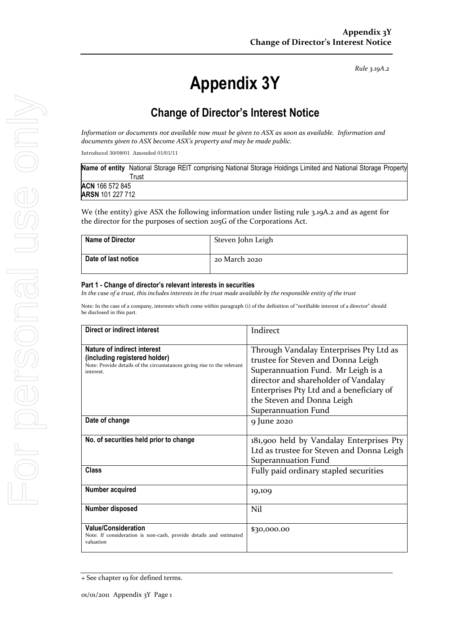*Rule 3.19A.2*

# **Appendix 3Y**

# **Change of Director's Interest Notice**

*Information or documents not available now must be given to ASX as soon as available. Information and documents given to ASX become ASX's property and may be made public.*

Introduced 30/09/01 Amended 01/01/11

| Name of entity National Storage REIT comprising National Storage Holdings Limited and National Storage Property |       |  |  |  |  |  |
|-----------------------------------------------------------------------------------------------------------------|-------|--|--|--|--|--|
|                                                                                                                 | ™rust |  |  |  |  |  |
| ACN 166 572 845                                                                                                 |       |  |  |  |  |  |
| <b>ARSN</b> 101 227 712                                                                                         |       |  |  |  |  |  |
|                                                                                                                 |       |  |  |  |  |  |

We (the entity) give ASX the following information under listing rule 3.19A.2 and as agent for the director for the purposes of section 205G of the Corporations Act.

| <b>Name of Director</b> | Steven John Leigh |
|-------------------------|-------------------|
| Date of last notice     | 20 March 2020     |

#### **Part 1 - Change of director's relevant interests in securities**

*In the case of a trust, this includes interests in the trust made available by the responsible entity of the trust*

Note: In the case of a company, interests which come within paragraph (i) of the definition of "notifiable interest of a director" should be disclosed in this part.

| Direct or indirect interest                                                                                                                         | Indirect                                                                                                                                                                                                                                                     |
|-----------------------------------------------------------------------------------------------------------------------------------------------------|--------------------------------------------------------------------------------------------------------------------------------------------------------------------------------------------------------------------------------------------------------------|
| Nature of indirect interest<br>(including registered holder)<br>Note: Provide details of the circumstances giving rise to the relevant<br>interest. | Through Vandalay Enterprises Pty Ltd as<br>trustee for Steven and Donna Leigh<br>Superannuation Fund. Mr Leigh is a<br>director and shareholder of Vandalay<br>Enterprises Pty Ltd and a beneficiary of<br>the Steven and Donna Leigh<br>Superannuation Fund |
| Date of change                                                                                                                                      | 9 June 2020                                                                                                                                                                                                                                                  |
| No. of securities held prior to change                                                                                                              | 181,900 held by Vandalay Enterprises Pty<br>Ltd as trustee for Steven and Donna Leigh<br>Superannuation Fund                                                                                                                                                 |
| Class                                                                                                                                               | Fully paid ordinary stapled securities                                                                                                                                                                                                                       |
| Number acquired                                                                                                                                     | 19,109                                                                                                                                                                                                                                                       |
| Number disposed                                                                                                                                     | Nil                                                                                                                                                                                                                                                          |
| <b>Value/Consideration</b><br>Note: If consideration is non-cash, provide details and estimated<br>valuation                                        | \$30,000.00                                                                                                                                                                                                                                                  |

<sup>+</sup> See chapter 19 for defined terms.